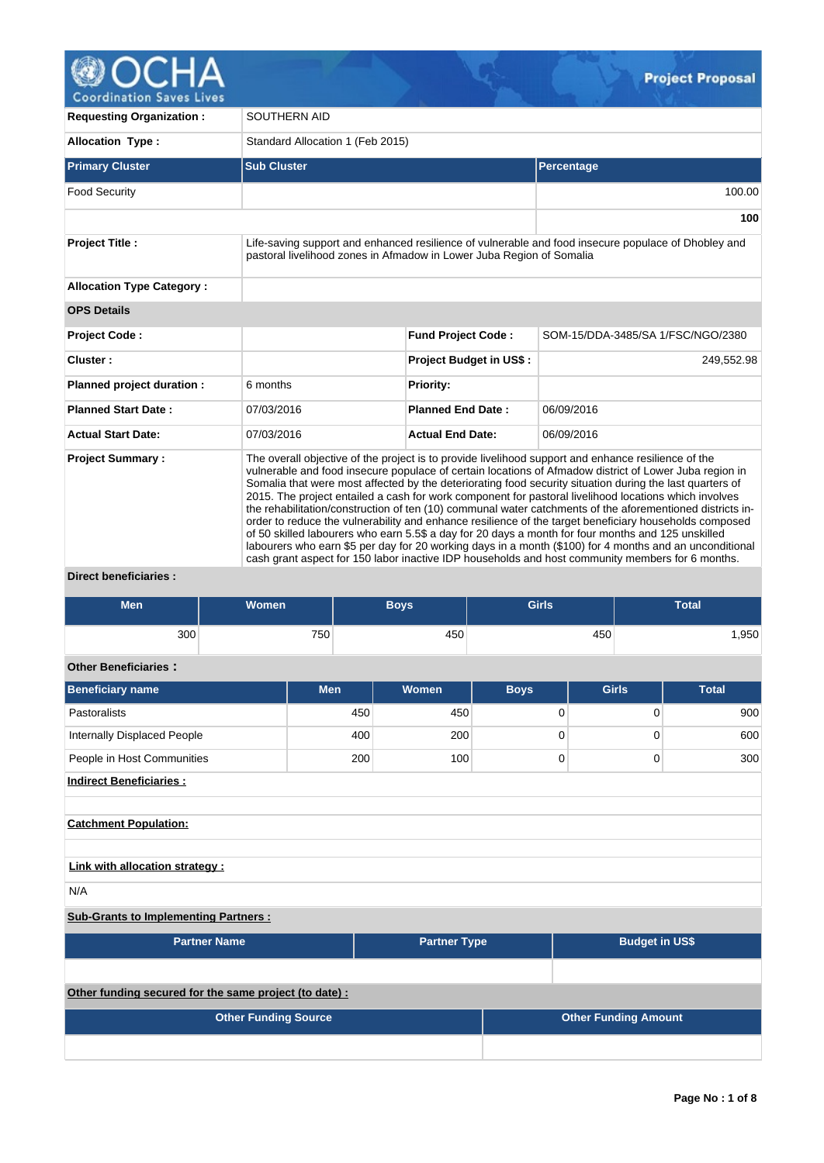

| <b>Requesting Organization:</b>  | SOUTHERN AID                                                                                                                                                                                                                                                                                                                                                                                                                                                                                                                                                                                                                                                                                                                                                                                                                                                                                                                                                                   |                                |                                                                                                     |  |  |  |  |  |
|----------------------------------|--------------------------------------------------------------------------------------------------------------------------------------------------------------------------------------------------------------------------------------------------------------------------------------------------------------------------------------------------------------------------------------------------------------------------------------------------------------------------------------------------------------------------------------------------------------------------------------------------------------------------------------------------------------------------------------------------------------------------------------------------------------------------------------------------------------------------------------------------------------------------------------------------------------------------------------------------------------------------------|--------------------------------|-----------------------------------------------------------------------------------------------------|--|--|--|--|--|
| <b>Allocation Type:</b>          | Standard Allocation 1 (Feb 2015)                                                                                                                                                                                                                                                                                                                                                                                                                                                                                                                                                                                                                                                                                                                                                                                                                                                                                                                                               |                                |                                                                                                     |  |  |  |  |  |
| <b>Primary Cluster</b>           | <b>Sub Cluster</b>                                                                                                                                                                                                                                                                                                                                                                                                                                                                                                                                                                                                                                                                                                                                                                                                                                                                                                                                                             |                                | Percentage                                                                                          |  |  |  |  |  |
| <b>Food Security</b>             |                                                                                                                                                                                                                                                                                                                                                                                                                                                                                                                                                                                                                                                                                                                                                                                                                                                                                                                                                                                |                                | 100.00                                                                                              |  |  |  |  |  |
|                                  |                                                                                                                                                                                                                                                                                                                                                                                                                                                                                                                                                                                                                                                                                                                                                                                                                                                                                                                                                                                |                                | 100                                                                                                 |  |  |  |  |  |
| <b>Project Title:</b>            | pastoral livelihood zones in Afmadow in Lower Juba Region of Somalia                                                                                                                                                                                                                                                                                                                                                                                                                                                                                                                                                                                                                                                                                                                                                                                                                                                                                                           |                                | Life-saving support and enhanced resilience of vulnerable and food insecure populace of Dhobley and |  |  |  |  |  |
| <b>Allocation Type Category:</b> |                                                                                                                                                                                                                                                                                                                                                                                                                                                                                                                                                                                                                                                                                                                                                                                                                                                                                                                                                                                |                                |                                                                                                     |  |  |  |  |  |
| <b>OPS Details</b>               |                                                                                                                                                                                                                                                                                                                                                                                                                                                                                                                                                                                                                                                                                                                                                                                                                                                                                                                                                                                |                                |                                                                                                     |  |  |  |  |  |
| Project Code:                    |                                                                                                                                                                                                                                                                                                                                                                                                                                                                                                                                                                                                                                                                                                                                                                                                                                                                                                                                                                                | <b>Fund Project Code:</b>      | SOM-15/DDA-3485/SA 1/FSC/NGO/2380                                                                   |  |  |  |  |  |
| Cluster:                         |                                                                                                                                                                                                                                                                                                                                                                                                                                                                                                                                                                                                                                                                                                                                                                                                                                                                                                                                                                                | <b>Project Budget in US\$:</b> | 249,552.98                                                                                          |  |  |  |  |  |
| Planned project duration :       | 6 months                                                                                                                                                                                                                                                                                                                                                                                                                                                                                                                                                                                                                                                                                                                                                                                                                                                                                                                                                                       | <b>Priority:</b>               |                                                                                                     |  |  |  |  |  |
| <b>Planned Start Date:</b>       | 07/03/2016                                                                                                                                                                                                                                                                                                                                                                                                                                                                                                                                                                                                                                                                                                                                                                                                                                                                                                                                                                     | <b>Planned End Date:</b>       | 06/09/2016                                                                                          |  |  |  |  |  |
| <b>Actual Start Date:</b>        | 07/03/2016                                                                                                                                                                                                                                                                                                                                                                                                                                                                                                                                                                                                                                                                                                                                                                                                                                                                                                                                                                     | <b>Actual End Date:</b>        | 06/09/2016                                                                                          |  |  |  |  |  |
| <b>Project Summary:</b>          | The overall objective of the project is to provide livelihood support and enhance resilience of the<br>vulnerable and food insecure populace of certain locations of Afmadow district of Lower Juba region in<br>Somalia that were most affected by the deteriorating food security situation during the last quarters of<br>2015. The project entailed a cash for work component for pastoral livelihood locations which involves<br>the rehabilitation/construction of ten (10) communal water catchments of the aforementioned districts in-<br>order to reduce the vulnerability and enhance resilience of the target beneficiary households composed<br>of 50 skilled labourers who earn 5.5\$ a day for 20 days a month for four months and 125 unskilled<br>labourers who earn \$5 per day for 20 working days in a month (\$100) for 4 months and an unconditional<br>cash grant aspect for 150 labor inactive IDP households and host community members for 6 months. |                                |                                                                                                     |  |  |  |  |  |

**Direct beneficiaries :**

| <b>Men</b> | <b>Women</b> | Boys | <b>Girls</b> | <b>Total</b> |
|------------|--------------|------|--------------|--------------|
| 300        | 750          | 450  | 450          | .950         |

# **Other Beneficiaries :**

| <b>Beneficiary name</b>                                             | <b>Men</b> | Women | <b>Boys</b> | <b>Girls</b> | <b>Total</b> |  |  |  |  |  |  |
|---------------------------------------------------------------------|------------|-------|-------------|--------------|--------------|--|--|--|--|--|--|
| <b>Pastoralists</b>                                                 | 450        | 450   | $\mathbf 0$ | 0            | 900          |  |  |  |  |  |  |
| Internally Displaced People                                         | 400        | 200   | $\mathbf 0$ | 0            | 600          |  |  |  |  |  |  |
| People in Host Communities                                          | 200        | 100   | 0           | 0            | 300          |  |  |  |  |  |  |
| <b>Indirect Beneficiaries:</b>                                      |            |       |             |              |              |  |  |  |  |  |  |
|                                                                     |            |       |             |              |              |  |  |  |  |  |  |
| <b>Catchment Population:</b>                                        |            |       |             |              |              |  |  |  |  |  |  |
|                                                                     |            |       |             |              |              |  |  |  |  |  |  |
| Link with allocation strategy :                                     |            |       |             |              |              |  |  |  |  |  |  |
| N/A                                                                 |            |       |             |              |              |  |  |  |  |  |  |
| <b>Sub-Grants to Implementing Partners:</b>                         |            |       |             |              |              |  |  |  |  |  |  |
| <b>Partner Name</b><br><b>Budget in US\$</b><br><b>Partner Type</b> |            |       |             |              |              |  |  |  |  |  |  |

**Other funding secured for the same project (to date) : Other Funding Source COLLEGE ATTENTIFY ATTACK CONTRACT CONTRACT CONTRACT CONTRACT CONTRACT CONTRACT CONTRACT CONTRACT CONTRACT CONTRACT CONTRACT CONTRACT CONTRACT CONTRACT CONTRACT CONTRACT CONTRACT CONTRACT CONTRACT CO**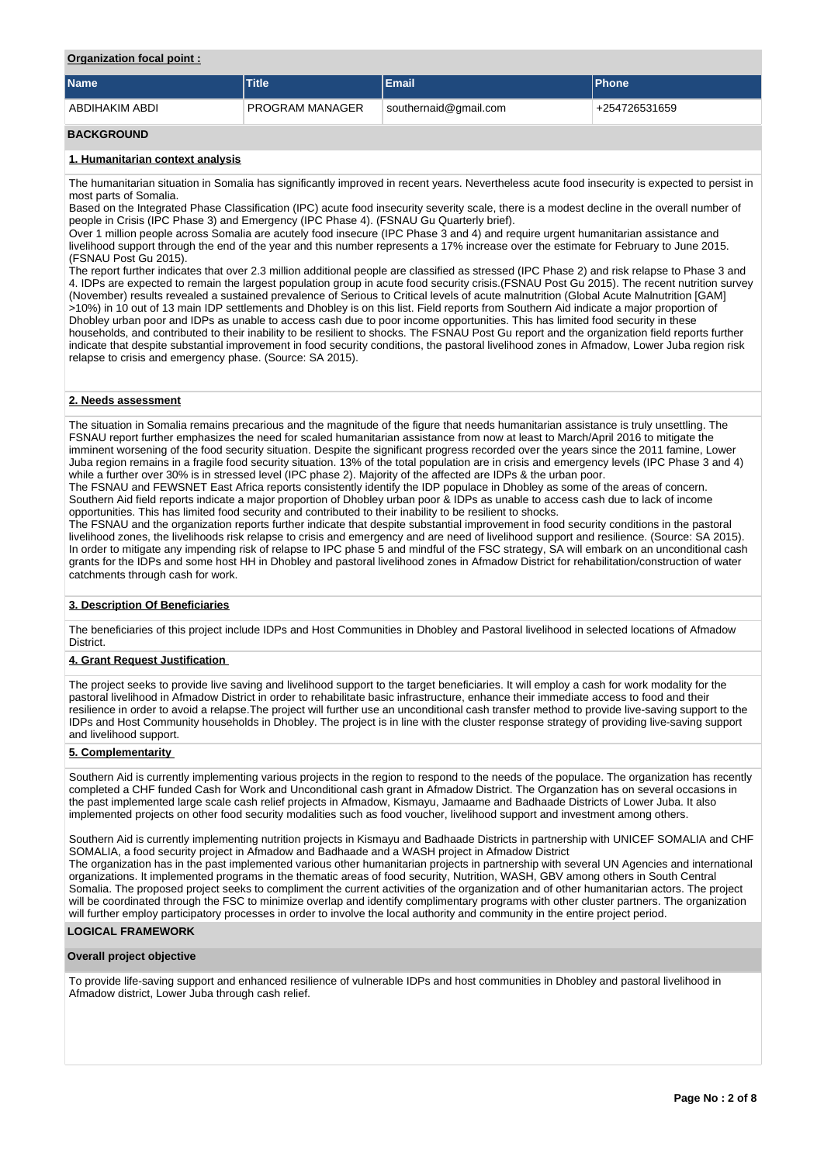## **Organization focal point :**

| <b>Name</b>                      | <b>Title</b>    | <b>Email</b>          | <b>Phone</b>  |  |  |  |  |  |  |  |
|----------------------------------|-----------------|-----------------------|---------------|--|--|--|--|--|--|--|
| ABDIHAKIM ABDI                   | PROGRAM MANAGER | southernaid@gmail.com | +254726531659 |  |  |  |  |  |  |  |
| <b>BACKGROUND</b>                |                 |                       |               |  |  |  |  |  |  |  |
| 1. Humanitarian context analysis |                 |                       |               |  |  |  |  |  |  |  |

The humanitarian situation in Somalia has significantly improved in recent years. Nevertheless acute food insecurity is expected to persist in most parts of Somalia.

Based on the Integrated Phase Classification (IPC) acute food insecurity severity scale, there is a modest decline in the overall number of people in Crisis (IPC Phase 3) and Emergency (IPC Phase 4). (FSNAU Gu Quarterly brief).

Over 1 million people across Somalia are acutely food insecure (IPC Phase 3 and 4) and require urgent humanitarian assistance and livelihood support through the end of the year and this number represents a 17% increase over the estimate for February to June 2015. (FSNAU Post Gu 2015).

The report further indicates that over 2.3 million additional people are classified as stressed (IPC Phase 2) and risk relapse to Phase 3 and 4. IDPs are expected to remain the largest population group in acute food security crisis.(FSNAU Post Gu 2015). The recent nutrition survey (November) results revealed a sustained prevalence of Serious to Critical levels of acute malnutrition (Global Acute Malnutrition [GAM] >10%) in 10 out of 13 main IDP settlements and Dhobley is on this list. Field reports from Southern Aid indicate a major proportion of Dhobley urban poor and IDPs as unable to access cash due to poor income opportunities. This has limited food security in these households, and contributed to their inability to be resilient to shocks. The FSNAU Post Gu report and the organization field reports further indicate that despite substantial improvement in food security conditions, the pastoral livelihood zones in Afmadow, Lower Juba region risk relapse to crisis and emergency phase. (Source: SA 2015).

### **2. Needs assessment**

The situation in Somalia remains precarious and the magnitude of the figure that needs humanitarian assistance is truly unsettling. The FSNAU report further emphasizes the need for scaled humanitarian assistance from now at least to March/April 2016 to mitigate the imminent worsening of the food security situation. Despite the significant progress recorded over the years since the 2011 famine, Lower Juba region remains in a fragile food security situation. 13% of the total population are in crisis and emergency levels (IPC Phase 3 and 4) while a further over 30% is in stressed level (IPC phase 2). Majority of the affected are IDPs & the urban poor.

The FSNAU and FEWSNET East Africa reports consistently identify the IDP populace in Dhobley as some of the areas of concern. Southern Aid field reports indicate a major proportion of Dhobley urban poor & IDPs as unable to access cash due to lack of income opportunities. This has limited food security and contributed to their inability to be resilient to shocks.

The FSNAU and the organization reports further indicate that despite substantial improvement in food security conditions in the pastoral livelihood zones, the livelihoods risk relapse to crisis and emergency and are need of livelihood support and resilience. (Source: SA 2015). In order to mitigate any impending risk of relapse to IPC phase 5 and mindful of the FSC strategy, SA will embark on an unconditional cash grants for the IDPs and some host HH in Dhobley and pastoral livelihood zones in Afmadow District for rehabilitation/construction of water catchments through cash for work.

### **3. Description Of Beneficiaries**

The beneficiaries of this project include IDPs and Host Communities in Dhobley and Pastoral livelihood in selected locations of Afmadow **District** 

## **4. Grant Request Justification**

The project seeks to provide live saving and livelihood support to the target beneficiaries. It will employ a cash for work modality for the pastoral livelihood in Afmadow District in order to rehabilitate basic infrastructure, enhance their immediate access to food and their resilience in order to avoid a relapse.The project will further use an unconditional cash transfer method to provide live-saving support to the IDPs and Host Community households in Dhobley. The project is in line with the cluster response strategy of providing live-saving support and livelihood support.

### **5. Complementarity**

Southern Aid is currently implementing various projects in the region to respond to the needs of the populace. The organization has recently completed a CHF funded Cash for Work and Unconditional cash grant in Afmadow District. The Organzation has on several occasions in the past implemented large scale cash relief projects in Afmadow, Kismayu, Jamaame and Badhaade Districts of Lower Juba. It also implemented projects on other food security modalities such as food voucher, livelihood support and investment among others.

Southern Aid is currently implementing nutrition projects in Kismayu and Badhaade Districts in partnership with UNICEF SOMALIA and CHF SOMALIA, a food security project in Afmadow and Badhaade and a WASH project in Afmadow District The organization has in the past implemented various other humanitarian projects in partnership with several UN Agencies and international organizations. It implemented programs in the thematic areas of food security, Nutrition, WASH, GBV among others in South Central Somalia. The proposed project seeks to compliment the current activities of the organization and of other humanitarian actors. The project will be coordinated through the FSC to minimize overlap and identify complimentary programs with other cluster partners. The organization will further employ participatory processes in order to involve the local authority and community in the entire project period.

# **LOGICAL FRAMEWORK**

### **Overall project objective**

To provide life-saving support and enhanced resilience of vulnerable IDPs and host communities in Dhobley and pastoral livelihood in Afmadow district, Lower Juba through cash relief.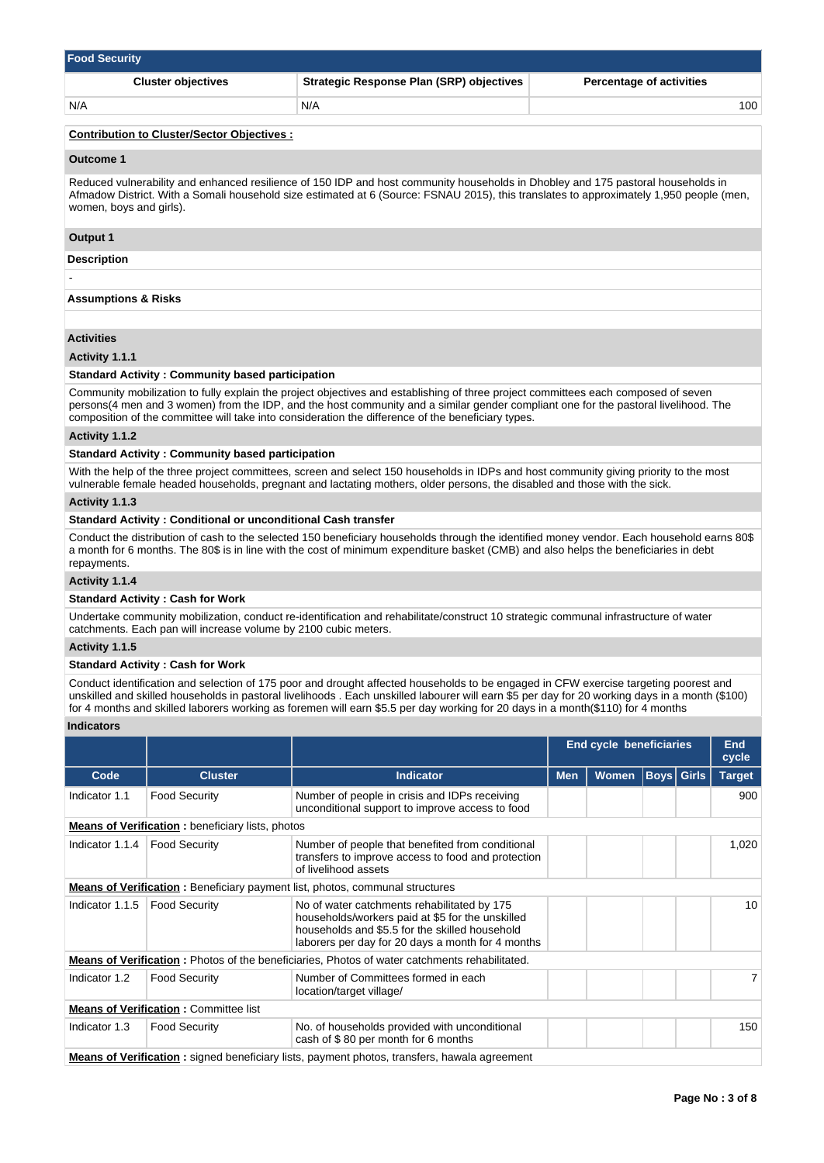| <b>Food Security</b>      |                                                 |                                 |  |  |  |  |  |  |  |
|---------------------------|-------------------------------------------------|---------------------------------|--|--|--|--|--|--|--|
| <b>Cluster objectives</b> | <b>Strategic Response Plan (SRP) objectives</b> | <b>Percentage of activities</b> |  |  |  |  |  |  |  |
| N/A                       | N/A                                             | 100                             |  |  |  |  |  |  |  |

### **Contribution to Cluster/Sector Objectives :**

#### **Outcome 1**

Reduced vulnerability and enhanced resilience of 150 IDP and host community households in Dhobley and 175 pastoral households in Afmadow District. With a Somali household size estimated at 6 (Source: FSNAU 2015), this translates to approximately 1,950 people (men, women, boys and girls).

### **Output 1**

### **Description**

-

# **Assumptions & Risks**

### **Activities**

### **Activity 1.1.1**

### **Standard Activity : Community based participation**

Community mobilization to fully explain the project objectives and establishing of three project committees each composed of seven persons(4 men and 3 women) from the IDP, and the host community and a similar gender compliant one for the pastoral livelihood. The composition of the committee will take into consideration the difference of the beneficiary types.

### **Activity 1.1.2**

### **Standard Activity : Community based participation**

With the help of the three project committees, screen and select 150 households in IDPs and host community giving priority to the most vulnerable female headed households, pregnant and lactating mothers, older persons, the disabled and those with the sick.

### **Activity 1.1.3**

## **Standard Activity : Conditional or unconditional Cash transfer**

Conduct the distribution of cash to the selected 150 beneficiary households through the identified money vendor. Each household earns 80\$ a month for 6 months. The 80\$ is in line with the cost of minimum expenditure basket (CMB) and also helps the beneficiaries in debt repayments.

### **Activity 1.1.4**

## **Standard Activity : Cash for Work**

Undertake community mobilization, conduct re-identification and rehabilitate/construct 10 strategic communal infrastructure of water catchments. Each pan will increase volume by 2100 cubic meters.

### **Activity 1.1.5**

# **Standard Activity : Cash for Work**

Conduct identification and selection of 175 poor and drought affected households to be engaged in CFW exercise targeting poorest and unskilled and skilled households in pastoral livelihoods . Each unskilled labourer will earn \$5 per day for 20 working days in a month (\$100) for 4 months and skilled laborers working as foremen will earn \$5.5 per day working for 20 days in a month(\$110) for 4 months

### **Indicators**

|                 |                                                          |                                                                                                                                                                                                        |            | <b>End cycle beneficiaries</b> |  |                   | <b>End</b><br>cycle |  |
|-----------------|----------------------------------------------------------|--------------------------------------------------------------------------------------------------------------------------------------------------------------------------------------------------------|------------|--------------------------------|--|-------------------|---------------------|--|
| Code            | <b>Cluster</b>                                           | <b>Indicator</b>                                                                                                                                                                                       | <b>Men</b> | <b>Women</b>                   |  | <b>Boys</b> Girls | <b>Target</b>       |  |
| Indicator 1.1   | <b>Food Security</b>                                     | Number of people in crisis and IDPs receiving<br>unconditional support to improve access to food                                                                                                       |            |                                |  |                   | 900                 |  |
|                 | <b>Means of Verification :</b> beneficiary lists, photos |                                                                                                                                                                                                        |            |                                |  |                   |                     |  |
| Indicator 1.1.4 | <b>Food Security</b>                                     | Number of people that benefited from conditional<br>transfers to improve access to food and protection<br>of livelihood assets                                                                         |            |                                |  |                   | 1,020               |  |
|                 |                                                          | <b>Means of Verification:</b> Beneficiary payment list, photos, communal structures                                                                                                                    |            |                                |  |                   |                     |  |
| Indicator 1.1.5 | <b>Food Security</b>                                     | No of water catchments rehabilitated by 175<br>households/workers paid at \$5 for the unskilled<br>households and \$5.5 for the skilled household<br>laborers per day for 20 days a month for 4 months |            |                                |  |                   | 10                  |  |
|                 |                                                          | <b>Means of Verification:</b> Photos of the beneficiaries, Photos of water catchments rehabilitated.                                                                                                   |            |                                |  |                   |                     |  |
| Indicator 1.2   | <b>Food Security</b>                                     | Number of Committees formed in each<br>location/target village/                                                                                                                                        |            |                                |  |                   |                     |  |
|                 | <b>Means of Verification: Committee list</b>             |                                                                                                                                                                                                        |            |                                |  |                   |                     |  |
| Indicator 1.3   | <b>Food Security</b>                                     | No. of households provided with unconditional<br>cash of \$80 per month for 6 months                                                                                                                   |            |                                |  | 150               |                     |  |
|                 |                                                          | <b>Means of Verification</b> : signed beneficiary lists, payment photos, transfers, hawala agreement                                                                                                   |            |                                |  |                   |                     |  |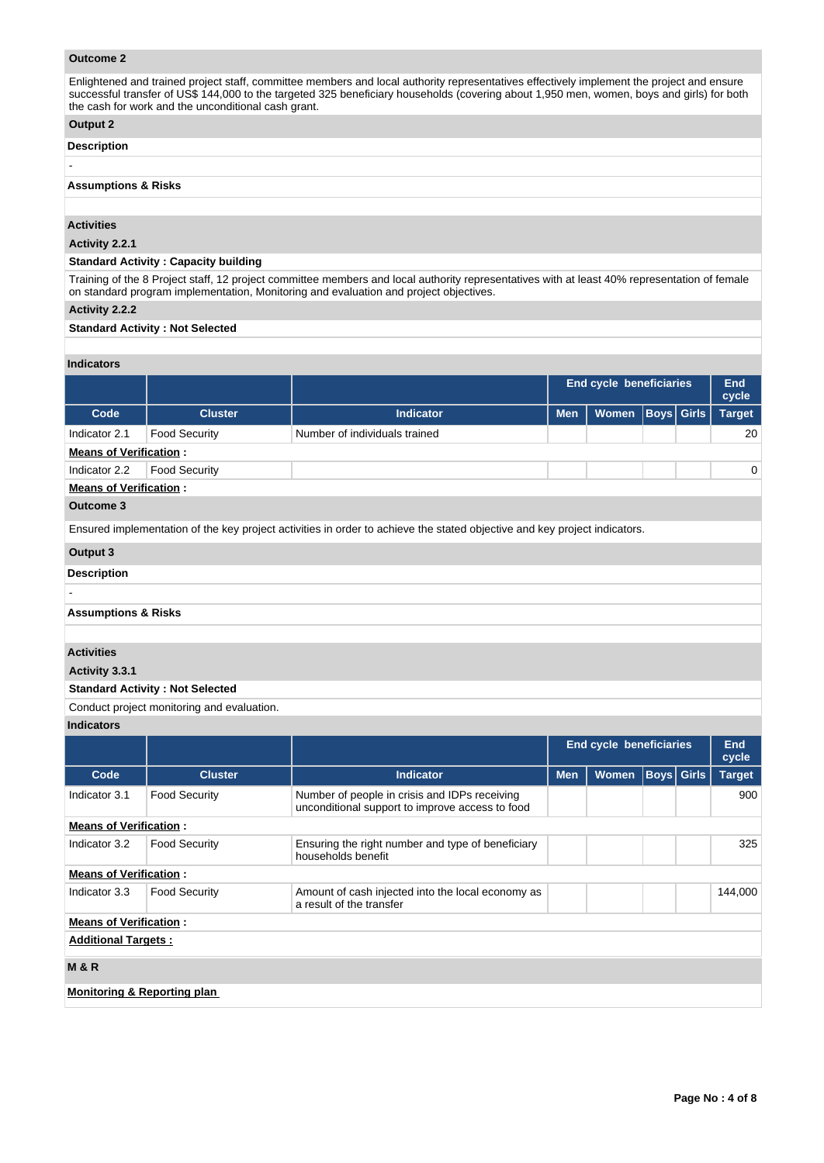# **Outcome 2**

Enlightened and trained project staff, committee members and local authority representatives effectively implement the project and ensure successful transfer of US\$ 144,000 to the targeted 325 beneficiary households (covering about 1,950 men, women, boys and girls) for both the cash for work and the unconditional cash grant.

# **Output 2**

### **Description**

-

# **Assumptions & Risks**

# **Activities**

**Activity 2.2.1** 

# **Standard Activity : Capacity building**

Training of the 8 Project staff, 12 project committee members and local authority representatives with at least 40% representation of female on standard program implementation, Monitoring and evaluation and project objectives.

## **Activity 2.2.2**

### **Standard Activity : Not Selected**

# **Indicators**

|                               |                      |                                                                                                                           | <b>End cycle beneficiaries</b> |              |  |                   | End<br>cycle  |  |  |
|-------------------------------|----------------------|---------------------------------------------------------------------------------------------------------------------------|--------------------------------|--------------|--|-------------------|---------------|--|--|
| Code                          | <b>Cluster</b>       | <b>Indicator</b>                                                                                                          | <b>Men</b>                     | <b>Women</b> |  | <b>Boys Girls</b> | <b>Target</b> |  |  |
| Indicator 2.1                 | <b>Food Security</b> | Number of individuals trained                                                                                             |                                |              |  |                   | 20            |  |  |
| <b>Means of Verification:</b> |                      |                                                                                                                           |                                |              |  |                   |               |  |  |
| Indicator 2.2                 | <b>Food Security</b> |                                                                                                                           |                                |              |  |                   | 0             |  |  |
| <b>Means of Verification:</b> |                      |                                                                                                                           |                                |              |  |                   |               |  |  |
| Outcome 3                     |                      |                                                                                                                           |                                |              |  |                   |               |  |  |
|                               |                      | Ensured implementation of the key project activities in order to achieve the stated objective and key project indicators. |                                |              |  |                   |               |  |  |
| Output 3                      |                      |                                                                                                                           |                                |              |  |                   |               |  |  |
| <b>Description</b>            |                      |                                                                                                                           |                                |              |  |                   |               |  |  |
|                               |                      |                                                                                                                           |                                |              |  |                   |               |  |  |

# **Assumptions & Risks**

### **Activities**

-

**Activity 3.3.1** 

## **Standard Activity : Not Selected**

Conduct project monitoring and evaluation.

**Indicators**

|                                        |                      |                                                                                                  |            | <b>End cycle beneficiaries</b> |            |  | <b>End</b><br>cycle |  |
|----------------------------------------|----------------------|--------------------------------------------------------------------------------------------------|------------|--------------------------------|------------|--|---------------------|--|
| Code                                   | <b>Cluster</b>       | <b>Indicator</b>                                                                                 | <b>Men</b> | <b>Women</b>                   | Boys Girls |  | <b>Target</b>       |  |
| Indicator 3.1                          | <b>Food Security</b> | Number of people in crisis and IDPs receiving<br>unconditional support to improve access to food |            |                                |            |  | 900                 |  |
| <b>Means of Verification:</b>          |                      |                                                                                                  |            |                                |            |  |                     |  |
| Indicator 3.2                          | <b>Food Security</b> | Ensuring the right number and type of beneficiary<br>households benefit                          |            | 325                            |            |  |                     |  |
| <b>Means of Verification:</b>          |                      |                                                                                                  |            |                                |            |  |                     |  |
| Indicator 3.3                          | <b>Food Security</b> | Amount of cash injected into the local economy as<br>a result of the transfer                    |            |                                |            |  | 144,000             |  |
| <b>Means of Verification:</b>          |                      |                                                                                                  |            |                                |            |  |                     |  |
| <b>Additional Targets:</b>             |                      |                                                                                                  |            |                                |            |  |                     |  |
| <b>M&amp;R</b>                         |                      |                                                                                                  |            |                                |            |  |                     |  |
| <b>Monitoring &amp; Reporting plan</b> |                      |                                                                                                  |            |                                |            |  |                     |  |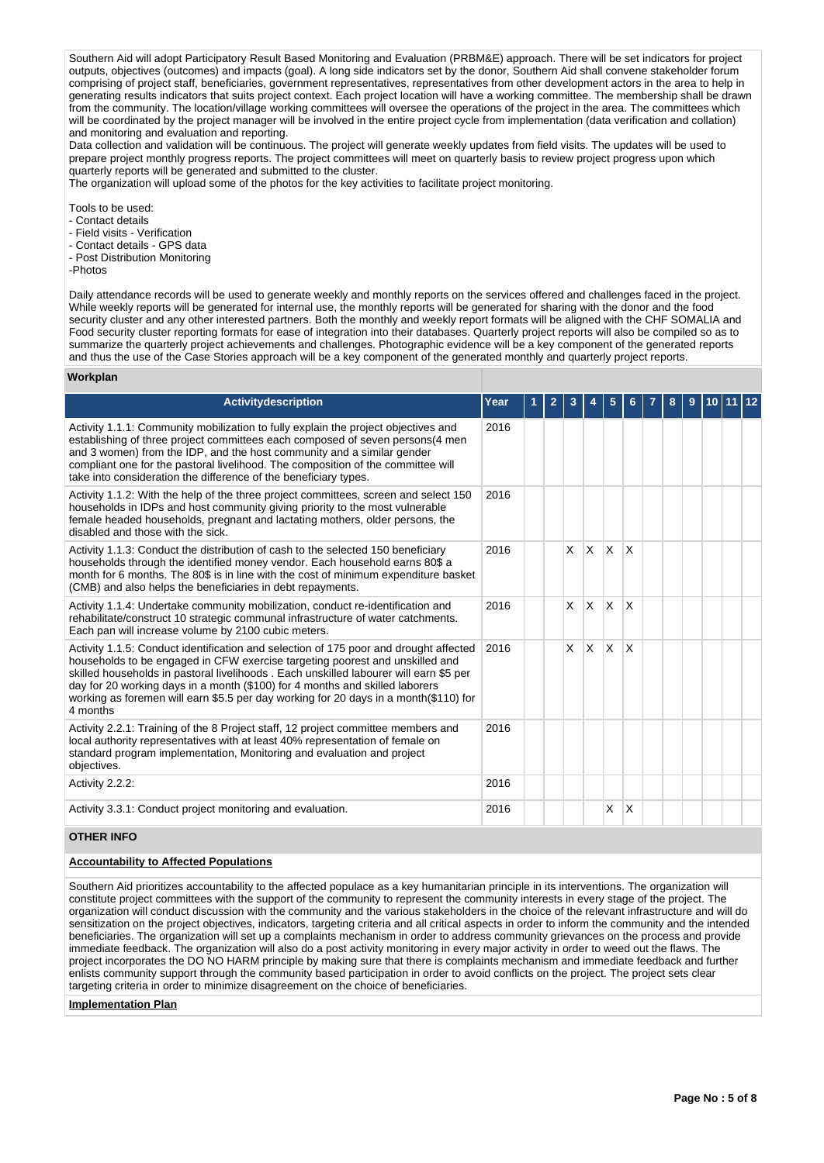Southern Aid will adopt Participatory Result Based Monitoring and Evaluation (PRBM&E) approach. There will be set indicators for project outputs, objectives (outcomes) and impacts (goal). A long side indicators set by the donor, Southern Aid shall convene stakeholder forum comprising of project staff, beneficiaries, government representatives, representatives from other development actors in the area to help in generating results indicators that suits project context. Each project location will have a working committee. The membership shall be drawn from the community. The location/village working committees will oversee the operations of the project in the area. The committees which will be coordinated by the project manager will be involved in the entire project cycle from implementation (data verification and collation) and monitoring and evaluation and reporting.

Data collection and validation will be continuous. The project will generate weekly updates from field visits. The updates will be used to prepare project monthly progress reports. The project committees will meet on quarterly basis to review project progress upon which quarterly reports will be generated and submitted to the cluster.

The organization will upload some of the photos for the key activities to facilitate project monitoring.

Tools to be used:

- Contact details
- Field visits Verification
- Contact details GPS data
- Post Distribution Monitoring
- -Photos

**W** 

Daily attendance records will be used to generate weekly and monthly reports on the services offered and challenges faced in the project. While weekly reports will be generated for internal use, the monthly reports will be generated for sharing with the donor and the food security cluster and any other interested partners. Both the monthly and weekly report formats will be aligned with the CHF SOMALIA and Food security cluster reporting formats for ease of integration into their databases. Quarterly project reports will also be compiled so as to summarize the quarterly project achievements and challenges. Photographic evidence will be a key component of the generated reports and thus the use of the Case Stories approach will be a key component of the generated monthly and quarterly project reports.

| Workplan                                                                                                                                                                                                                                                                                                                                                                                                                                            |      |   |                |   |              |              |          |   |   |    |       |  |
|-----------------------------------------------------------------------------------------------------------------------------------------------------------------------------------------------------------------------------------------------------------------------------------------------------------------------------------------------------------------------------------------------------------------------------------------------------|------|---|----------------|---|--------------|--------------|----------|---|---|----|-------|--|
| Activitydescription                                                                                                                                                                                                                                                                                                                                                                                                                                 | Year | 1 | $\overline{2}$ | 3 | 4            | 5            | 6        | 8 | 9 | 10 | 11 12 |  |
| Activity 1.1.1: Community mobilization to fully explain the project objectives and<br>establishing of three project committees each composed of seven persons(4 men<br>and 3 women) from the IDP, and the host community and a similar gender<br>compliant one for the pastoral livelihood. The composition of the committee will<br>take into consideration the difference of the beneficiary types.                                               | 2016 |   |                |   |              |              |          |   |   |    |       |  |
| Activity 1.1.2: With the help of the three project committees, screen and select 150<br>households in IDPs and host community giving priority to the most vulnerable<br>female headed households, pregnant and lactating mothers, older persons, the<br>disabled and those with the sick.                                                                                                                                                           | 2016 |   |                |   |              |              |          |   |   |    |       |  |
| Activity 1.1.3: Conduct the distribution of cash to the selected 150 beneficiary<br>households through the identified money vendor. Each household earns 80\$ a<br>month for 6 months. The 80\$ is in line with the cost of minimum expenditure basket<br>(CMB) and also helps the beneficiaries in debt repayments.                                                                                                                                | 2016 |   |                | X | $\mathsf{X}$ | $\mathsf{x}$ | X        |   |   |    |       |  |
| Activity 1.1.4: Undertake community mobilization, conduct re-identification and<br>rehabilitate/construct 10 strategic communal infrastructure of water catchments.<br>Each pan will increase volume by 2100 cubic meters.                                                                                                                                                                                                                          | 2016 |   |                | X | IX.          | X            | $\times$ |   |   |    |       |  |
| Activity 1.1.5: Conduct identification and selection of 175 poor and drought affected<br>households to be engaged in CFW exercise targeting poorest and unskilled and<br>skilled households in pastoral livelihoods . Each unskilled labourer will earn \$5 per<br>day for 20 working days in a month (\$100) for 4 months and skilled laborers<br>working as foremen will earn \$5.5 per day working for 20 days in a month(\$110) for<br>4 months | 2016 |   |                | X | ΙX.          | $\mathsf{x}$ | $\times$ |   |   |    |       |  |
| Activity 2.2.1: Training of the 8 Project staff, 12 project committee members and<br>local authority representatives with at least 40% representation of female on<br>standard program implementation, Monitoring and evaluation and project<br>objectives.                                                                                                                                                                                         | 2016 |   |                |   |              |              |          |   |   |    |       |  |
| Activity 2.2.2:                                                                                                                                                                                                                                                                                                                                                                                                                                     | 2016 |   |                |   |              |              |          |   |   |    |       |  |
| Activity 3.3.1: Conduct project monitoring and evaluation.                                                                                                                                                                                                                                                                                                                                                                                          | 2016 |   |                |   |              | X            | X        |   |   |    |       |  |
| <b>OTHER INFO</b>                                                                                                                                                                                                                                                                                                                                                                                                                                   |      |   |                |   |              |              |          |   |   |    |       |  |

#### **Accountability to Affected Populations**

Southern Aid prioritizes accountability to the affected populace as a key humanitarian principle in its interventions. The organization will constitute project committees with the support of the community to represent the community interests in every stage of the project. The organization will conduct discussion with the community and the various stakeholders in the choice of the relevant infrastructure and will do sensitization on the project objectives, indicators, targeting criteria and all critical aspects in order to inform the community and the intended beneficiaries. The organization will set up a complaints mechanism in order to address community grievances on the process and provide immediate feedback. The organization will also do a post activity monitoring in every major activity in order to weed out the flaws. The project incorporates the DO NO HARM principle by making sure that there is complaints mechanism and immediate feedback and further enlists community support through the community based participation in order to avoid conflicts on the project. The project sets clear targeting criteria in order to minimize disagreement on the choice of beneficiaries.

**Implementation Plan**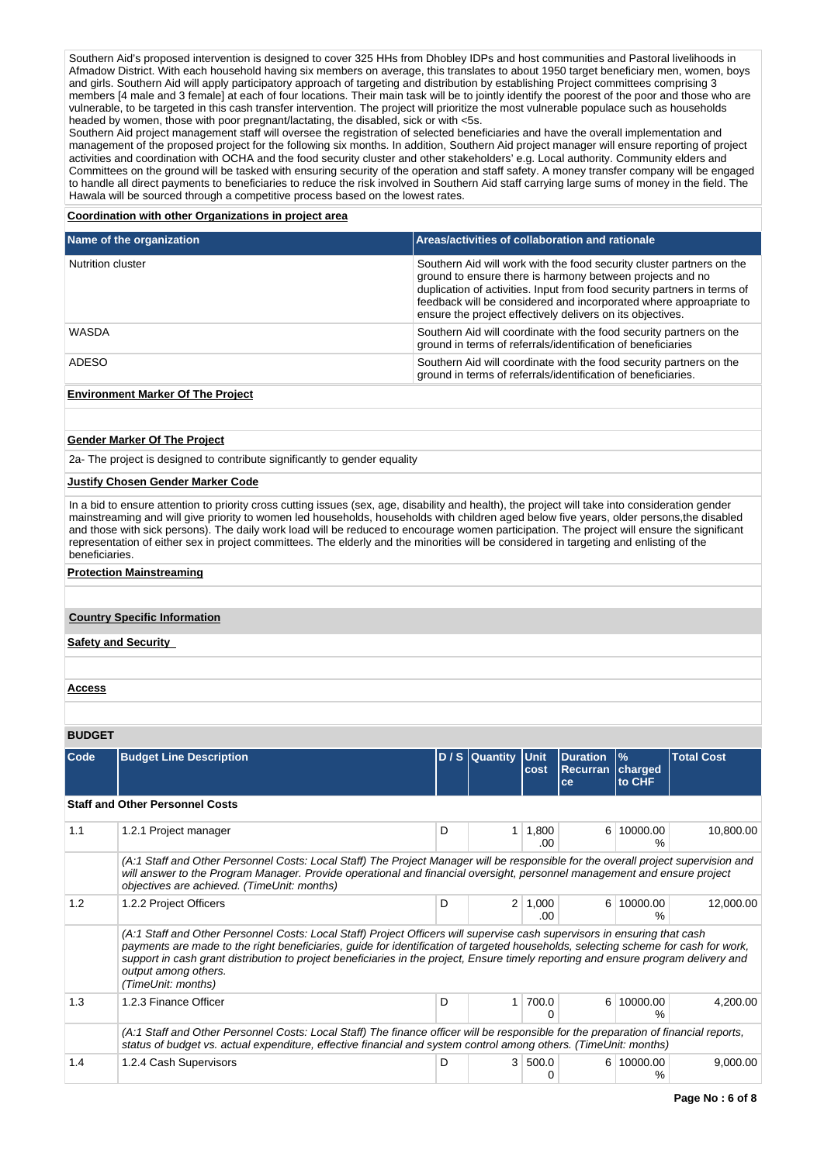Southern Aid's proposed intervention is designed to cover 325 HHs from Dhobley IDPs and host communities and Pastoral livelihoods in Afmadow District. With each household having six members on average, this translates to about 1950 target beneficiary men, women, boys and girls. Southern Aid will apply participatory approach of targeting and distribution by establishing Project committees comprising 3 members [4 male and 3 female] at each of four locations. Their main task will be to jointly identify the poorest of the poor and those who are vulnerable, to be targeted in this cash transfer intervention. The project will prioritize the most vulnerable populace such as households headed by women, those with poor pregnant/lactating, the disabled, sick or with <5s.

Southern Aid project management staff will oversee the registration of selected beneficiaries and have the overall implementation and management of the proposed project for the following six months. In addition, Southern Aid project manager will ensure reporting of project activities and coordination with OCHA and the food security cluster and other stakeholders' e.g. Local authority. Community elders and Committees on the ground will be tasked with ensuring security of the operation and staff safety. A money transfer company will be engaged to handle all direct payments to beneficiaries to reduce the risk involved in Southern Aid staff carrying large sums of money in the field. The Hawala will be sourced through a competitive process based on the lowest rates.

#### **Coordination with other Organizations in project area**

| Name of the organization | Areas/activities of collaboration and rationale                                                                                                                                                                                                                                                                                                    |
|--------------------------|----------------------------------------------------------------------------------------------------------------------------------------------------------------------------------------------------------------------------------------------------------------------------------------------------------------------------------------------------|
| Nutrition cluster        | Southern Aid will work with the food security cluster partners on the<br>ground to ensure there is harmony between projects and no<br>duplication of activities. Input from food security partners in terms of<br>feedback will be considered and incorporated where approapriate to<br>ensure the project effectively delivers on its objectives. |
| WASDA                    | Southern Aid will coordinate with the food security partners on the<br>ground in terms of referrals/identification of beneficiaries                                                                                                                                                                                                                |
| ADESO                    | Southern Aid will coordinate with the food security partners on the<br>ground in terms of referrals/identification of beneficiaries.                                                                                                                                                                                                               |

### **Environment Marker Of The Project**

### **Gender Marker Of The Project**

2a- The project is designed to contribute significantly to gender equality

### **Justify Chosen Gender Marker Code**

In a bid to ensure attention to priority cross cutting issues (sex, age, disability and health), the project will take into consideration gender mainstreaming and will give priority to women led households, households with children aged below five years, older persons,the disabled and those with sick persons). The daily work load will be reduced to encourage women participation. The project will ensure the significant representation of either sex in project committees. The elderly and the minorities will be considered in targeting and enlisting of the beneficiaries.

#### **Protection Mainstreaming**

### **Country Specific Information**

**Safety and Security** 

#### **Access**

### **BUDGET**

| Code | <b>Budget Line Description</b>                                                                                                                                                                                                                                                                                                                                                                                                                       |        | $D/S$ Quantity | <b>Unit</b><br>cost | <b>Duration</b><br><b>Recurran</b><br>ce | $\frac{9}{6}$<br>charged<br>to CHF | <b>Total Cost</b> |
|------|------------------------------------------------------------------------------------------------------------------------------------------------------------------------------------------------------------------------------------------------------------------------------------------------------------------------------------------------------------------------------------------------------------------------------------------------------|--------|----------------|---------------------|------------------------------------------|------------------------------------|-------------------|
|      | <b>Staff and Other Personnel Costs</b>                                                                                                                                                                                                                                                                                                                                                                                                               |        |                |                     |                                          |                                    |                   |
| 1.1  | 1.2.1 Project manager                                                                                                                                                                                                                                                                                                                                                                                                                                | D<br>1 |                | 1,800<br>.00.       | 6                                        | 10000.00<br>%                      | 10,800.00         |
|      | (A:1 Staff and Other Personnel Costs: Local Staff) The Project Manager will be responsible for the overall project supervision and<br>will answer to the Program Manager. Provide operational and financial oversight, personnel management and ensure project<br>objectives are achieved. (TimeUnit: months)                                                                                                                                        |        |                |                     |                                          |                                    |                   |
| 1.2  | 1.2.2 Project Officers                                                                                                                                                                                                                                                                                                                                                                                                                               | D      | $\overline{2}$ | 1,000<br>.00        | 6                                        | 10000.00<br>%                      | 12,000.00         |
|      | (A:1 Staff and Other Personnel Costs: Local Staff) Project Officers will supervise cash supervisors in ensuring that cash<br>payments are made to the right beneficiaries, guide for identification of targeted households, selecting scheme for cash for work,<br>support in cash grant distribution to project beneficiaries in the project, Ensure timely reporting and ensure program delivery and<br>output among others.<br>(TimeUnit: months) |        |                |                     |                                          |                                    |                   |
| 1.3  | 1.2.3 Finance Officer                                                                                                                                                                                                                                                                                                                                                                                                                                | D      | 1              | 700.0               | $6 \mid$                                 | 10000.00<br>%                      | 4,200.00          |
|      | (A:1 Staff and Other Personnel Costs: Local Staff) The finance officer will be responsible for the preparation of financial reports,<br>status of budget vs. actual expenditure, effective financial and system control among others. (TimeUnit: months)                                                                                                                                                                                             |        |                |                     |                                          |                                    |                   |
| 1.4  | 1.2.4 Cash Supervisors                                                                                                                                                                                                                                                                                                                                                                                                                               | D      | 3 <sup>1</sup> | 500.0               | 6                                        | 10000.00<br>℅                      | 9,000.00          |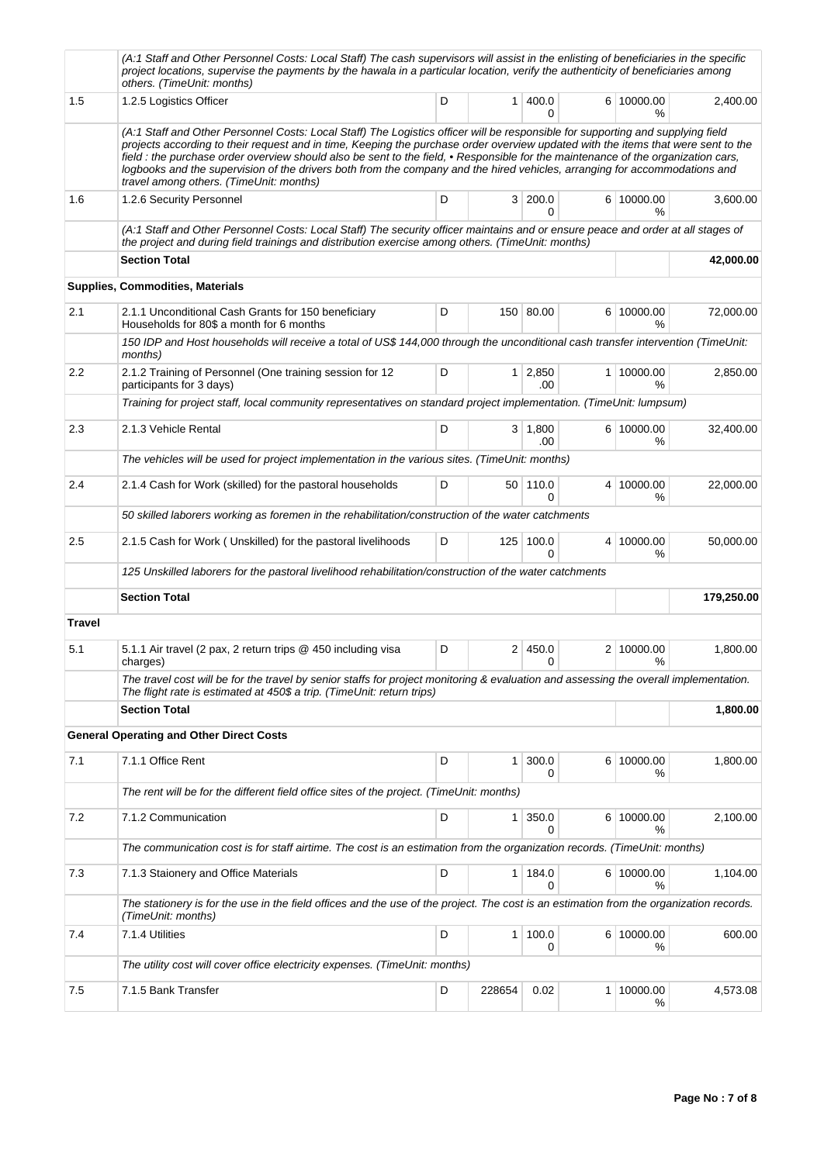|               | (A:1 Staff and Other Personnel Costs: Local Staff) The cash supervisors will assist in the enlisting of beneficiaries in the specific<br>project locations, supervise the payments by the hawala in a particular location, verify the authenticity of beneficiaries among<br>others. (TimeUnit: months)                                                                                                                                                                                                                                                                            |   |                |                       |                    |            |
|---------------|------------------------------------------------------------------------------------------------------------------------------------------------------------------------------------------------------------------------------------------------------------------------------------------------------------------------------------------------------------------------------------------------------------------------------------------------------------------------------------------------------------------------------------------------------------------------------------|---|----------------|-----------------------|--------------------|------------|
| 1.5           | 1.2.5 Logistics Officer                                                                                                                                                                                                                                                                                                                                                                                                                                                                                                                                                            | D |                | 1   400.0<br>$\Omega$ | 6 10000.00<br>%    | 2,400.00   |
|               | (A:1 Staff and Other Personnel Costs: Local Staff) The Logistics officer will be responsible for supporting and supplying field<br>projects according to their request and in time, Keeping the purchase order overview updated with the items that were sent to the<br>field : the purchase order overview should also be sent to the field, • Responsible for the maintenance of the organization cars,<br>logbooks and the supervision of the drivers both from the company and the hired vehicles, arranging for accommodations and<br>travel among others. (TimeUnit: months) |   |                |                       |                    |            |
| 1.6           | 1.2.6 Security Personnel                                                                                                                                                                                                                                                                                                                                                                                                                                                                                                                                                           | D |                | 3 200.0<br>$\Omega$   | 6 10000.00<br>%    | 3,600.00   |
|               | (A:1 Staff and Other Personnel Costs: Local Staff) The security officer maintains and or ensure peace and order at all stages of<br>the project and during field trainings and distribution exercise among others. (TimeUnit: months)                                                                                                                                                                                                                                                                                                                                              |   |                |                       |                    |            |
|               | <b>Section Total</b>                                                                                                                                                                                                                                                                                                                                                                                                                                                                                                                                                               |   |                |                       |                    | 42,000.00  |
|               | <b>Supplies, Commodities, Materials</b>                                                                                                                                                                                                                                                                                                                                                                                                                                                                                                                                            |   |                |                       |                    |            |
| 2.1           | 2.1.1 Unconditional Cash Grants for 150 beneficiary<br>Households for 80\$ a month for 6 months                                                                                                                                                                                                                                                                                                                                                                                                                                                                                    | D |                | 150 80.00             | 6 10000.00<br>℅    | 72,000.00  |
|               | 150 IDP and Host households will receive a total of US\$ 144,000 through the unconditional cash transfer intervention (TimeUnit:<br>months)                                                                                                                                                                                                                                                                                                                                                                                                                                        |   |                |                       |                    |            |
| 2.2           | 2.1.2 Training of Personnel (One training session for 12<br>participants for 3 days)                                                                                                                                                                                                                                                                                                                                                                                                                                                                                               | D |                | $1 \mid 2,850$<br>.00 | 1 10000.00<br>%    | 2,850.00   |
|               | Training for project staff, local community representatives on standard project implementation. (TimeUnit: lumpsum)                                                                                                                                                                                                                                                                                                                                                                                                                                                                |   |                |                       |                    |            |
| 2.3           | 2.1.3 Vehicle Rental                                                                                                                                                                                                                                                                                                                                                                                                                                                                                                                                                               | D |                | $3 \mid 1,800$<br>.00 | 6 10000.00<br>℅    | 32,400.00  |
|               | The vehicles will be used for project implementation in the various sites. (TimeUnit: months)                                                                                                                                                                                                                                                                                                                                                                                                                                                                                      |   |                |                       |                    |            |
| 2.4           | 2.1.4 Cash for Work (skilled) for the pastoral households                                                                                                                                                                                                                                                                                                                                                                                                                                                                                                                          | D |                | 50 110.0<br>0         | 4 10000.00<br>℅    | 22,000.00  |
|               | 50 skilled laborers working as foremen in the rehabilitation/construction of the water catchments                                                                                                                                                                                                                                                                                                                                                                                                                                                                                  |   |                |                       |                    |            |
| 2.5           | 2.1.5 Cash for Work ( Unskilled) for the pastoral livelihoods                                                                                                                                                                                                                                                                                                                                                                                                                                                                                                                      | D | 125            | 100.0<br>$\Omega$     | 4 10000.00<br>%    | 50,000.00  |
|               | 125 Unskilled laborers for the pastoral livelihood rehabilitation/construction of the water catchments                                                                                                                                                                                                                                                                                                                                                                                                                                                                             |   |                |                       |                    |            |
|               | <b>Section Total</b>                                                                                                                                                                                                                                                                                                                                                                                                                                                                                                                                                               |   |                |                       |                    | 179,250.00 |
| <b>Travel</b> |                                                                                                                                                                                                                                                                                                                                                                                                                                                                                                                                                                                    |   |                |                       |                    |            |
| 5.1           | 5.1.1 Air travel (2 pax, 2 return trips @ 450 including visa<br>charges)                                                                                                                                                                                                                                                                                                                                                                                                                                                                                                           | D | 2 <sup>1</sup> | 450.0<br>$\Omega$     | 2 10000.00<br>%    | 1,800.00   |
|               | The travel cost will be for the travel by senior staffs for project monitoring & evaluation and assessing the overall implementation.<br>The flight rate is estimated at 450\$ a trip. (TimeUnit: return trips)                                                                                                                                                                                                                                                                                                                                                                    |   |                |                       |                    |            |
|               | <b>Section Total</b>                                                                                                                                                                                                                                                                                                                                                                                                                                                                                                                                                               |   |                |                       |                    | 1,800.00   |
|               | <b>General Operating and Other Direct Costs</b>                                                                                                                                                                                                                                                                                                                                                                                                                                                                                                                                    |   |                |                       |                    |            |
| 7.1           | 7.1.1 Office Rent                                                                                                                                                                                                                                                                                                                                                                                                                                                                                                                                                                  | D | 1 <sup>1</sup> | 300.0<br>0            | 6 10000.00<br>%    | 1,800.00   |
|               | The rent will be for the different field office sites of the project. (TimeUnit: months)                                                                                                                                                                                                                                                                                                                                                                                                                                                                                           |   |                |                       |                    |            |
| 7.2           | 7.1.2 Communication                                                                                                                                                                                                                                                                                                                                                                                                                                                                                                                                                                | D | 1 <sup>1</sup> | 350.0<br>0            | 6 10000.00<br>$\%$ | 2,100.00   |
|               | The communication cost is for staff airtime. The cost is an estimation from the organization records. (TimeUnit: months)                                                                                                                                                                                                                                                                                                                                                                                                                                                           |   |                |                       |                    |            |
| 7.3           | 7.1.3 Staionery and Office Materials                                                                                                                                                                                                                                                                                                                                                                                                                                                                                                                                               | D |                | 1 184.0<br>0          | 6 10000.00<br>%    | 1,104.00   |
|               | The stationery is for the use in the field offices and the use of the project. The cost is an estimation from the organization records.<br>(TimeUnit: months)                                                                                                                                                                                                                                                                                                                                                                                                                      |   |                |                       |                    |            |
| 7.4           | 7.1.4 Utilities                                                                                                                                                                                                                                                                                                                                                                                                                                                                                                                                                                    | D |                | 1 100.0<br>0          | 6 10000.00<br>%    | 600.00     |
|               | The utility cost will cover office electricity expenses. (TimeUnit: months)                                                                                                                                                                                                                                                                                                                                                                                                                                                                                                        |   |                |                       |                    |            |
| 7.5           | 7.1.5 Bank Transfer                                                                                                                                                                                                                                                                                                                                                                                                                                                                                                                                                                | D | 228654         | 0.02                  | 1 10000.00<br>%    | 4,573.08   |